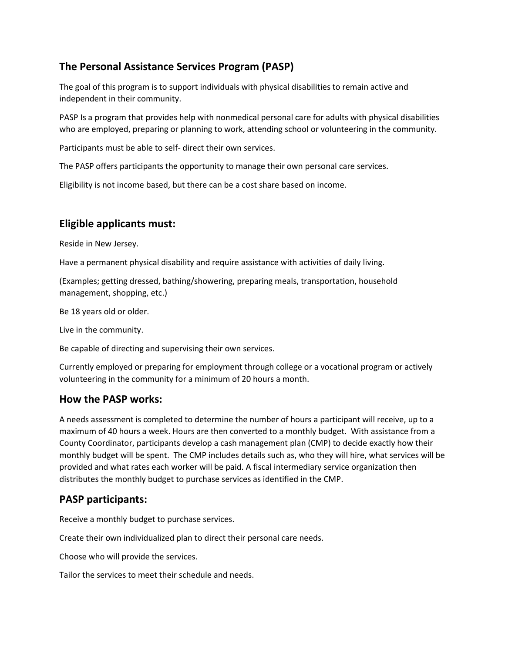# **The Personal Assistance Services Program (PASP)**

The goal of this program is to support individuals with physical disabilities to remain active and independent in their community.

PASP Is a program that provides help with nonmedical personal care for adults with physical disabilities who are employed, preparing or planning to work, attending school or volunteering in the community.

Participants must be able to self- direct their own services.

The PASP offers participants the opportunity to manage their own personal care services.

Eligibility is not income based, but there can be a cost share based on income.

# **Eligible applicants must:**

Reside in New Jersey.

Have a permanent physical disability and require assistance with activities of daily living.

(Examples; getting dressed, bathing/showering, preparing meals, transportation, household management, shopping, etc.)

Be 18 years old or older.

Live in the community.

Be capable of directing and supervising their own services.

Currently employed or preparing for employment through college or a vocational program or actively volunteering in the community for a minimum of 20 hours a month.

#### **How the PASP works:**

A needs assessment is completed to determine the number of hours a participant will receive, up to a maximum of 40 hours a week. Hours are then converted to a monthly budget. With assistance from a County Coordinator, participants develop a cash management plan (CMP) to decide exactly how their monthly budget will be spent. The CMP includes details such as, who they will hire, what services will be provided and what rates each worker will be paid. A fiscal intermediary service organization then distributes the monthly budget to purchase services as identified in the CMP.

### **PASP participants:**

Receive a monthly budget to purchase services.

Create their own individualized plan to direct their personal care needs.

Choose who will provide the services.

Tailor the services to meet their schedule and needs.